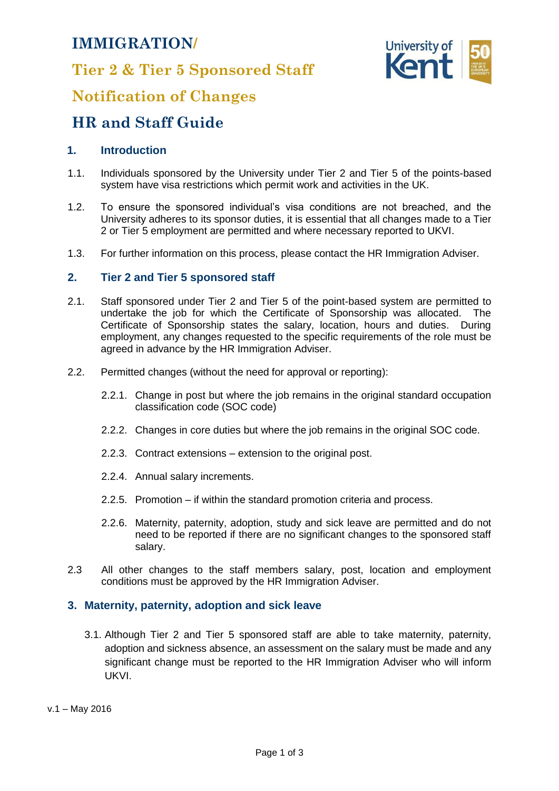## **IMMIGRATION/**

**Tier 2 & Tier 5 Sponsored Staff**



## **Notification of Changes**

# **HR and Staff Guide**

## **1. Introduction**

- 1.1. Individuals sponsored by the University under Tier 2 and Tier 5 of the points-based system have visa restrictions which permit work and activities in the UK.
- 1.2. To ensure the sponsored individual's visa conditions are not breached, and the University adheres to its sponsor duties, it is essential that all changes made to a Tier 2 or Tier 5 employment are permitted and where necessary reported to UKVI.
- 1.3. For further information on this process, please contact the HR Immigration Adviser.

## **2. Tier 2 and Tier 5 sponsored staff**

- 2.1. Staff sponsored under Tier 2 and Tier 5 of the point-based system are permitted to undertake the job for which the Certificate of Sponsorship was allocated. The Certificate of Sponsorship states the salary, location, hours and duties. During employment, any changes requested to the specific requirements of the role must be agreed in advance by the HR Immigration Adviser.
- 2.2. Permitted changes (without the need for approval or reporting):
	- 2.2.1. Change in post but where the job remains in the original standard occupation classification code (SOC code)
	- 2.2.2. Changes in core duties but where the job remains in the original SOC code.
	- 2.2.3. Contract extensions extension to the original post.
	- 2.2.4. Annual salary increments.
	- 2.2.5. Promotion if within the standard promotion criteria and process.
	- 2.2.6. Maternity, paternity, adoption, study and sick leave are permitted and do not need to be reported if there are no significant changes to the sponsored staff salary.
- 2.3 All other changes to the staff members salary, post, location and employment conditions must be approved by the HR Immigration Adviser.

#### **3. Maternity, paternity, adoption and sick leave**

3.1. Although Tier 2 and Tier 5 sponsored staff are able to take maternity, paternity, adoption and sickness absence, an assessment on the salary must be made and any significant change must be reported to the HR Immigration Adviser who will inform UKVI.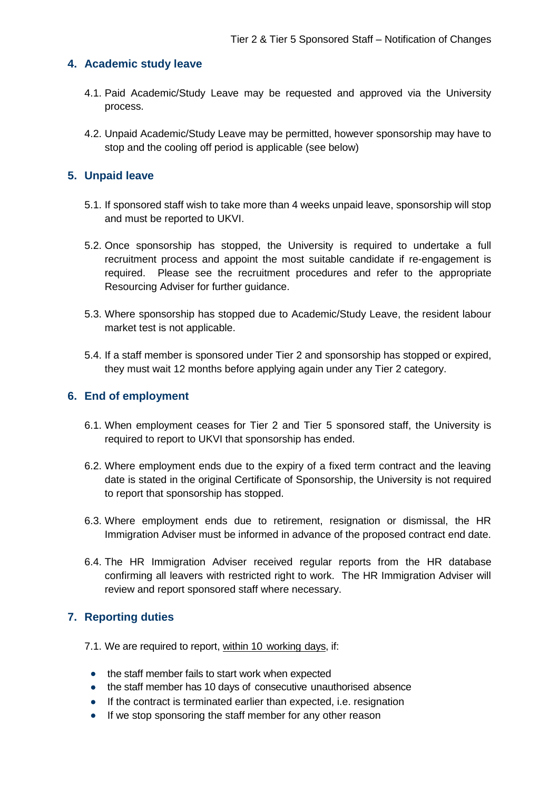## **4. Academic study leave**

- 4.1. Paid Academic/Study Leave may be requested and approved via the University process.
- 4.2. Unpaid Academic/Study Leave may be permitted, however sponsorship may have to stop and the cooling off period is applicable (see below)

### **5. Unpaid leave**

- 5.1. If sponsored staff wish to take more than 4 weeks unpaid leave, sponsorship will stop and must be reported to UKVI.
- 5.2. Once sponsorship has stopped, the University is required to undertake a full recruitment process and appoint the most suitable candidate if re-engagement is required. Please see the recruitment procedures and refer to the appropriate Resourcing Adviser for further guidance.
- 5.3. Where sponsorship has stopped due to Academic/Study Leave, the resident labour market test is not applicable.
- 5.4. If a staff member is sponsored under Tier 2 and sponsorship has stopped or expired, they must wait 12 months before applying again under any Tier 2 category.

#### **6. End of employment**

- 6.1. When employment ceases for Tier 2 and Tier 5 sponsored staff, the University is required to report to UKVI that sponsorship has ended.
- 6.2. Where employment ends due to the expiry of a fixed term contract and the leaving date is stated in the original Certificate of Sponsorship, the University is not required to report that sponsorship has stopped.
- 6.3. Where employment ends due to retirement, resignation or dismissal, the HR Immigration Adviser must be informed in advance of the proposed contract end date.
- 6.4. The HR Immigration Adviser received regular reports from the HR database confirming all leavers with restricted right to work. The HR Immigration Adviser will review and report sponsored staff where necessary.

## **7. Reporting duties**

- 7.1. We are required to report, within 10 working days, if:
	- the staff member fails to start work when expected
	- the staff member has 10 days of consecutive unauthorised absence
	- If the contract is terminated earlier than expected, i.e. resignation
	- If we stop sponsoring the staff member for any other reason